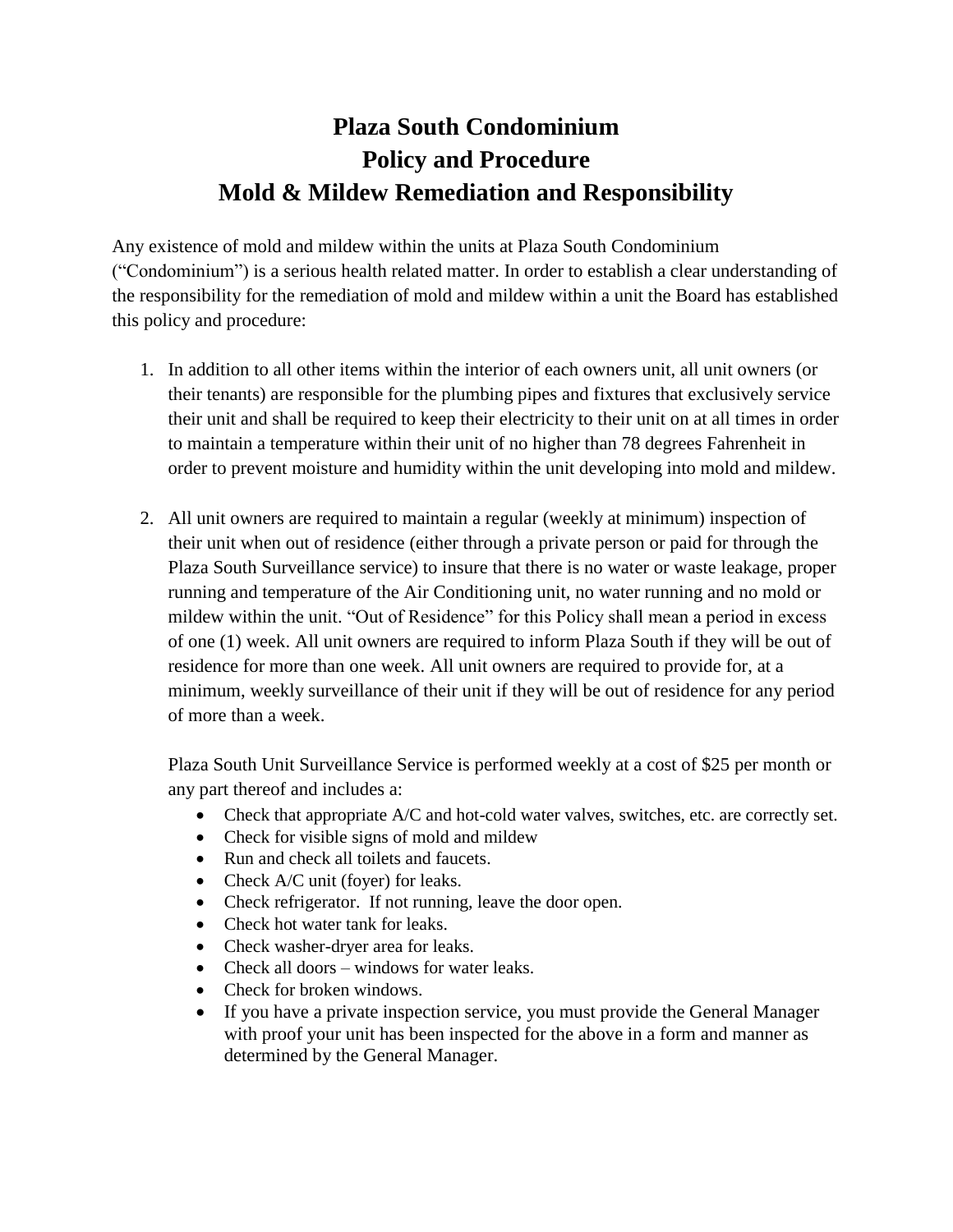## **Plaza South Condominium Policy and Procedure Mold & Mildew Remediation and Responsibility**

Any existence of mold and mildew within the units at Plaza South Condominium ("Condominium") is a serious health related matter. In order to establish a clear understanding of the responsibility for the remediation of mold and mildew within a unit the Board has established this policy and procedure:

- 1. In addition to all other items within the interior of each owners unit, all unit owners (or their tenants) are responsible for the plumbing pipes and fixtures that exclusively service their unit and shall be required to keep their electricity to their unit on at all times in order to maintain a temperature within their unit of no higher than 78 degrees Fahrenheit in order to prevent moisture and humidity within the unit developing into mold and mildew.
- 2. All unit owners are required to maintain a regular (weekly at minimum) inspection of their unit when out of residence (either through a private person or paid for through the Plaza South Surveillance service) to insure that there is no water or waste leakage, proper running and temperature of the Air Conditioning unit, no water running and no mold or mildew within the unit. "Out of Residence" for this Policy shall mean a period in excess of one (1) week. All unit owners are required to inform Plaza South if they will be out of residence for more than one week. All unit owners are required to provide for, at a minimum, weekly surveillance of their unit if they will be out of residence for any period of more than a week.

Plaza South Unit Surveillance Service is performed weekly at a cost of \$25 per month or any part thereof and includes a:

- Check that appropriate A/C and hot-cold water valves, switches, etc. are correctly set.
- Check for visible signs of mold and mildew
- Run and check all toilets and faucets.
- Check A/C unit (foyer) for leaks.
- Check refrigerator. If not running, leave the door open.
- Check hot water tank for leaks.
- Check washer-dryer area for leaks.
- Check all doors windows for water leaks.
- Check for broken windows
- If you have a private inspection service, you must provide the General Manager with proof your unit has been inspected for the above in a form and manner as determined by the General Manager.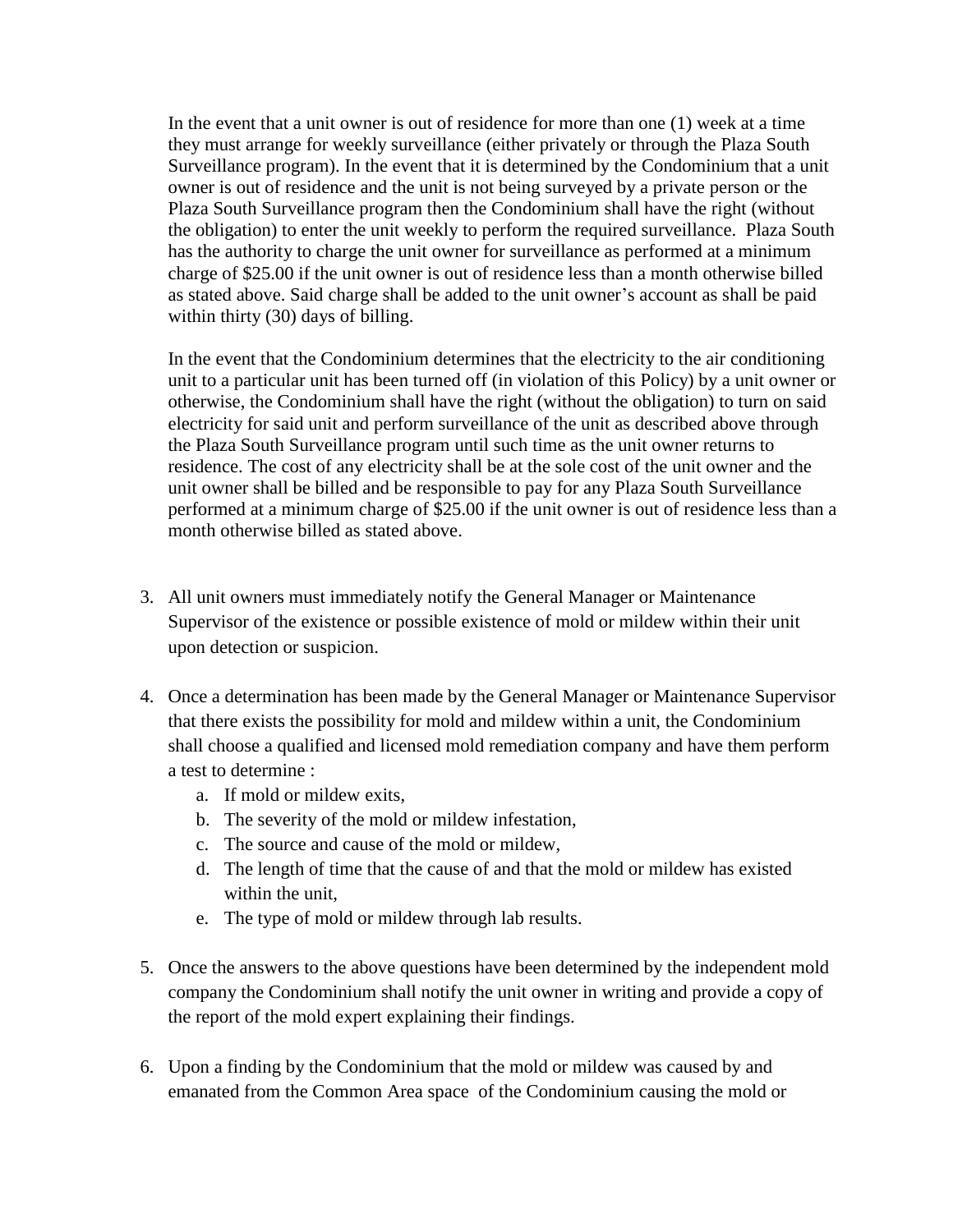In the event that a unit owner is out of residence for more than one (1) week at a time they must arrange for weekly surveillance (either privately or through the Plaza South Surveillance program). In the event that it is determined by the Condominium that a unit owner is out of residence and the unit is not being surveyed by a private person or the Plaza South Surveillance program then the Condominium shall have the right (without the obligation) to enter the unit weekly to perform the required surveillance. Plaza South has the authority to charge the unit owner for surveillance as performed at a minimum charge of \$25.00 if the unit owner is out of residence less than a month otherwise billed as stated above. Said charge shall be added to the unit owner's account as shall be paid within thirty (30) days of billing.

In the event that the Condominium determines that the electricity to the air conditioning unit to a particular unit has been turned off (in violation of this Policy) by a unit owner or otherwise, the Condominium shall have the right (without the obligation) to turn on said electricity for said unit and perform surveillance of the unit as described above through the Plaza South Surveillance program until such time as the unit owner returns to residence. The cost of any electricity shall be at the sole cost of the unit owner and the unit owner shall be billed and be responsible to pay for any Plaza South Surveillance performed at a minimum charge of \$25.00 if the unit owner is out of residence less than a month otherwise billed as stated above.

- 3. All unit owners must immediately notify the General Manager or Maintenance Supervisor of the existence or possible existence of mold or mildew within their unit upon detection or suspicion.
- 4. Once a determination has been made by the General Manager or Maintenance Supervisor that there exists the possibility for mold and mildew within a unit, the Condominium shall choose a qualified and licensed mold remediation company and have them perform a test to determine :
	- a. If mold or mildew exits,
	- b. The severity of the mold or mildew infestation,
	- c. The source and cause of the mold or mildew,
	- d. The length of time that the cause of and that the mold or mildew has existed within the unit,
	- e. The type of mold or mildew through lab results.
- 5. Once the answers to the above questions have been determined by the independent mold company the Condominium shall notify the unit owner in writing and provide a copy of the report of the mold expert explaining their findings.
- 6. Upon a finding by the Condominium that the mold or mildew was caused by and emanated from the Common Area space of the Condominium causing the mold or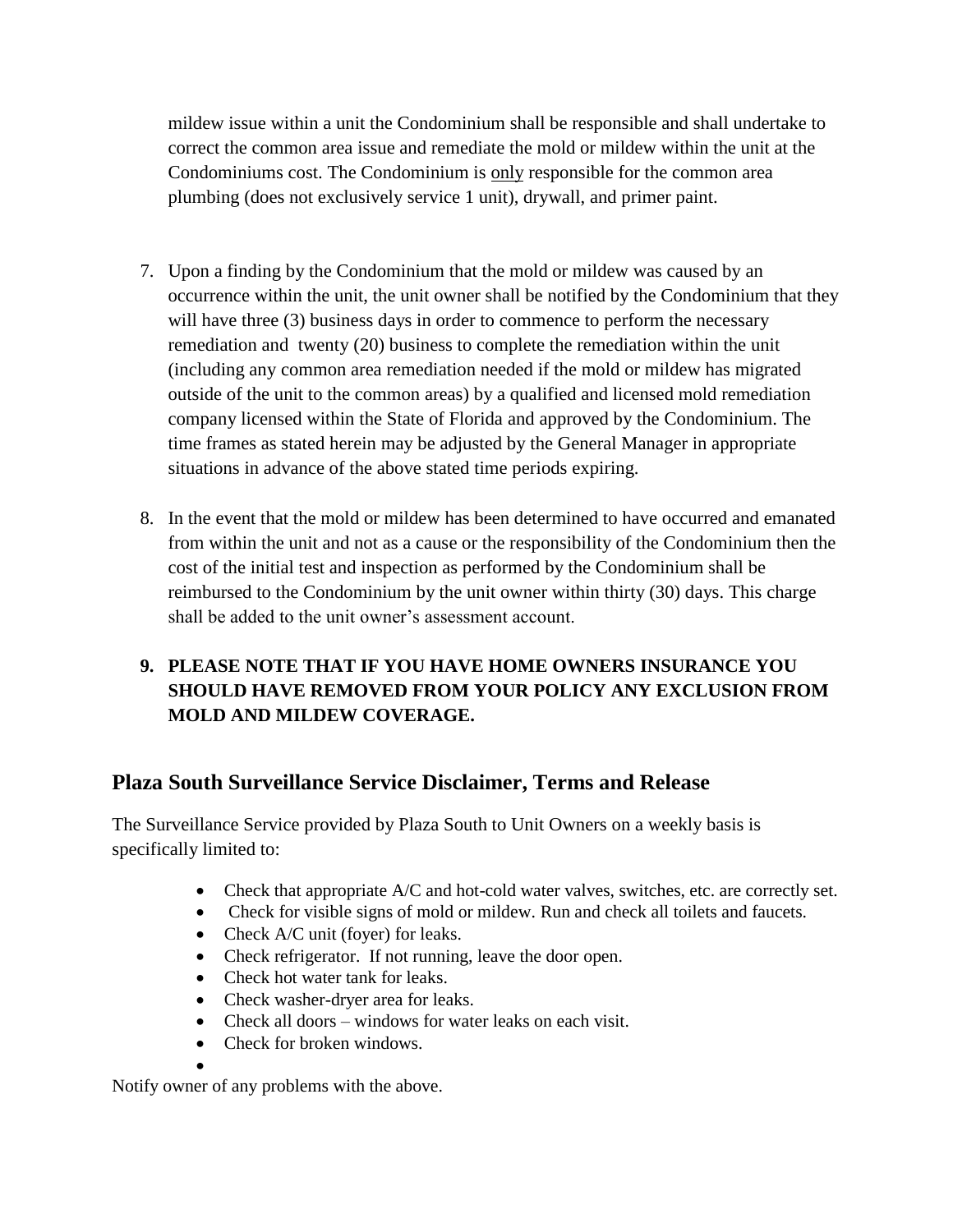mildew issue within a unit the Condominium shall be responsible and shall undertake to correct the common area issue and remediate the mold or mildew within the unit at the Condominiums cost. The Condominium is only responsible for the common area plumbing (does not exclusively service 1 unit), drywall, and primer paint.

- 7. Upon a finding by the Condominium that the mold or mildew was caused by an occurrence within the unit, the unit owner shall be notified by the Condominium that they will have three (3) business days in order to commence to perform the necessary remediation and twenty (20) business to complete the remediation within the unit (including any common area remediation needed if the mold or mildew has migrated outside of the unit to the common areas) by a qualified and licensed mold remediation company licensed within the State of Florida and approved by the Condominium. The time frames as stated herein may be adjusted by the General Manager in appropriate situations in advance of the above stated time periods expiring.
- 8. In the event that the mold or mildew has been determined to have occurred and emanated from within the unit and not as a cause or the responsibility of the Condominium then the cost of the initial test and inspection as performed by the Condominium shall be reimbursed to the Condominium by the unit owner within thirty (30) days. This charge shall be added to the unit owner's assessment account.

## **9. PLEASE NOTE THAT IF YOU HAVE HOME OWNERS INSURANCE YOU SHOULD HAVE REMOVED FROM YOUR POLICY ANY EXCLUSION FROM MOLD AND MILDEW COVERAGE.**

## **Plaza South Surveillance Service Disclaimer, Terms and Release**

The Surveillance Service provided by Plaza South to Unit Owners on a weekly basis is specifically limited to:

- Check that appropriate A/C and hot-cold water valves, switches, etc. are correctly set.
- Check for visible signs of mold or mildew. Run and check all toilets and faucets.
- Check A/C unit (foyer) for leaks.
- Check refrigerator. If not running, leave the door open.
- Check hot water tank for leaks.
- Check washer-dryer area for leaks.
- Check all doors windows for water leaks on each visit.
- Check for broken windows.
- $\bullet$

Notify owner of any problems with the above.